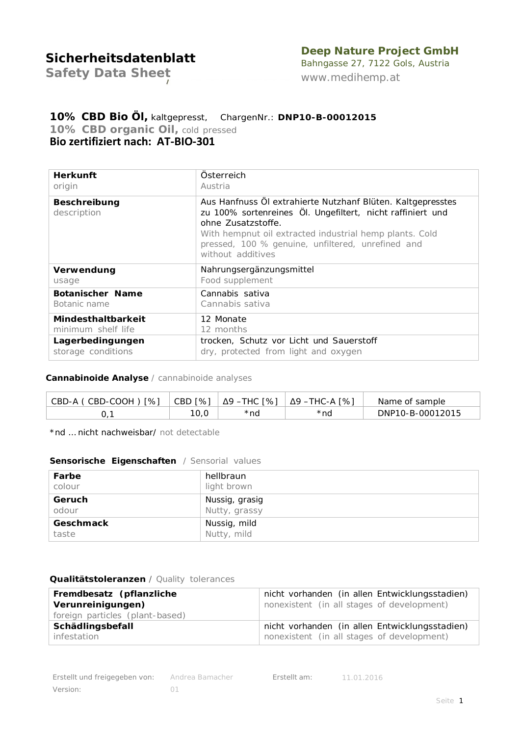## **Deep Nature Project GmbH**

*Safety Data Sheet*

Bahngasse 27, 7122 Gols, Austria *[www.medihemp.at](http://www.medihemp.at/)*

## **10% CBD Bio Öl,** kaltgepresst, ChargenNr.: **DNP10-B-00012015** *10% CBD organic Oil, cold pressed* **Bio zertifiziert nach: AT-BIO-301**

| <b>Herkunft</b>                    | Österreich                                                                                                                                                                                                                                                                           |
|------------------------------------|--------------------------------------------------------------------------------------------------------------------------------------------------------------------------------------------------------------------------------------------------------------------------------------|
| origin                             | Austria                                                                                                                                                                                                                                                                              |
| <b>Beschreibung</b><br>description | Aus Hanfnuss Öl extrahierte Nutzhanf Blüten. Kaltgepresstes<br>zu 100% sortenreines Öl. Ungefiltert, nicht raffiniert und<br>ohne Zusatzstoffe.<br>With hempnut oil extracted industrial hemp plants. Cold<br>pressed, 100 % genuine, unfiltered, unrefined and<br>without additives |
| Verwendung                         | Nahrungsergänzungsmittel                                                                                                                                                                                                                                                             |
| usage                              | Food supplement                                                                                                                                                                                                                                                                      |
| Botanischer Name                   | Cannabis sativa                                                                                                                                                                                                                                                                      |
| Botanic name                       | Cannabis sativa                                                                                                                                                                                                                                                                      |
| <b>Mindesthaltbarkeit</b>          | 12 Monate                                                                                                                                                                                                                                                                            |
| minimum shelf life                 | 12 months                                                                                                                                                                                                                                                                            |
| Lagerbedingungen                   | trocken, Schutz vor Licht und Sauerstoff                                                                                                                                                                                                                                             |
| storage conditions                 | dry, protected from light and oxygen                                                                                                                                                                                                                                                 |

### **Cannabinoide Analyse** / *cannabinoide analyses*

| CBD-A (CBD-COOH) [%] | CBD [%] | Δ9 –THC [%] | Δ9 –THC-A [%] | Name of sample   |
|----------------------|---------|-------------|---------------|------------------|
| U.                   | . U, U  | *nd         | *nd           | DNP10-B-00012015 |

\*nd … nicht nachweisbar/ *not detectable*

#### **Sensorische Eigenschaften** */ Sensorial values*

| Farbe            | hellbraun      |
|------------------|----------------|
| colour           | light brown    |
| Geruch           | Nussig, grasig |
| odour            | Nutty, grassy  |
| <b>Geschmack</b> | Nussig, mild   |
| taste            | Nutty, mild    |

### **Qualitätstoleranzen** */ Quality tolerances*

| Fremdbesatz (pflanzliche<br>Verunreinigungen)<br>foreign particles (plant-based) | nicht vorhanden (in allen Entwicklungsstadien)<br>nonexistent (in all stages of development) |
|----------------------------------------------------------------------------------|----------------------------------------------------------------------------------------------|
| Schädlingsbefall                                                                 | nicht vorhanden (in allen Entwicklungsstadien)                                               |
| infestation                                                                      | nonexistent (in all stages of development)                                                   |

*Erstellt am:* 11.01.2016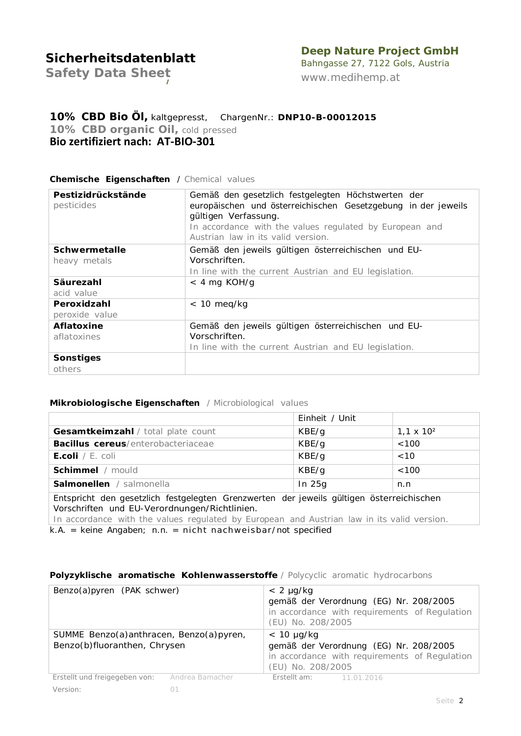## **Deep Nature Project GmbH**

*Safety Data Sheet*

Bahngasse 27, 7122 Gols, Austria *[www.medihemp.at](http://www.medihemp.at/)*

## **10% CBD Bio Öl,** kaltgepresst, ChargenNr.: **DNP10-B-00012015** *10% CBD organic Oil, cold pressed* **Bio zertifiziert nach: AT-BIO-301**

### **Chemische Eigenschaften** / *Chemical values*

| Pestizidrückstände<br>pesticides | Gemäß den gesetzlich festgelegten Höchstwerten der<br>europäischen und österreichischen Gesetzgebung in der jeweils<br>gültigen Verfassung.<br>In accordance with the values regulated by European and<br>Austrian law in its valid version. |  |  |
|----------------------------------|----------------------------------------------------------------------------------------------------------------------------------------------------------------------------------------------------------------------------------------------|--|--|
| <b>Schwermetalle</b>             | Gemäß den jeweils gültigen österreichischen und EU-                                                                                                                                                                                          |  |  |
| heavy metals                     | Vorschriften.                                                                                                                                                                                                                                |  |  |
|                                  | In line with the current Austrian and EU legislation.                                                                                                                                                                                        |  |  |
| Säurezahl                        | $<$ 4 mg KOH/g                                                                                                                                                                                                                               |  |  |
| acid value                       |                                                                                                                                                                                                                                              |  |  |
| Peroxidzahl                      | $< 10$ meg/kg                                                                                                                                                                                                                                |  |  |
| peroxide value                   |                                                                                                                                                                                                                                              |  |  |
| <b>Aflatoxine</b>                | Gemäß den jeweils gültigen österreichischen und EU-                                                                                                                                                                                          |  |  |
| aflatoxines                      | Vorschriften.                                                                                                                                                                                                                                |  |  |
|                                  | In line with the current Austrian and EU legislation.                                                                                                                                                                                        |  |  |
| Sonstiges                        |                                                                                                                                                                                                                                              |  |  |
| others                           |                                                                                                                                                                                                                                              |  |  |

#### **Mikrobiologische Eigenschaften** */ Microbiological values*

|                                                                                                                                                                                                                                         | Einheit / Unit |                   |  |  |
|-----------------------------------------------------------------------------------------------------------------------------------------------------------------------------------------------------------------------------------------|----------------|-------------------|--|--|
| Gesamtkeimzahl / total plate count                                                                                                                                                                                                      | KBE/g          | $1,1 \times 10^2$ |  |  |
| <b>Bacillus cereus</b> /enterobacteriaceae                                                                                                                                                                                              | KBE/g          | <100              |  |  |
| <b>E.coli</b> / <i>E. coli</i>                                                                                                                                                                                                          | KBE/g          | < 10              |  |  |
| Schimmel / mould                                                                                                                                                                                                                        | KBE/g          | <100              |  |  |
| <b>Salmonellen</b> / salmonella                                                                                                                                                                                                         | In $25g$       | n.n               |  |  |
| Entspricht den gesetzlich festgelegten Grenzwerten der jeweils gültigen österreichischen<br>Vorschriften und EU-Verordnungen/Richtlinien.<br>In accordance with the values regulated by European and Austrian law in its valid version. |                |                   |  |  |

k.A. = keine Angaben; n.n. = nicht nachweisbar/not specified

#### **Polyzyklische aromatische Kohlenwasserstoffe** */ Polycyclic aromatic hydrocarbons*

| Benzo(a)pyren (PAK schwer)                                              |                 | $< 2 \mu g/kg$<br>(EU) No. 208/2005  | gemäß der Verordnung (EG) Nr. 208/2005<br>in accordance with requirements of Regulation |
|-------------------------------------------------------------------------|-----------------|--------------------------------------|-----------------------------------------------------------------------------------------|
| SUMME Benzo(a)anthracen, Benzo(a)pyren,<br>Benzo(b)fluoranthen, Chrysen |                 | $< 10 \mu g/kg$<br>(EU) No. 208/2005 | gemäß der Verordnung (EG) Nr. 208/2005<br>in accordance with requirements of Regulation |
| Erstellt und freigegeben von:                                           | Andrea Bamacher | <b>Erstellt am:</b> 11.01.2016       |                                                                                         |
| <i>Version:</i>                                                         |                 |                                      |                                                                                         |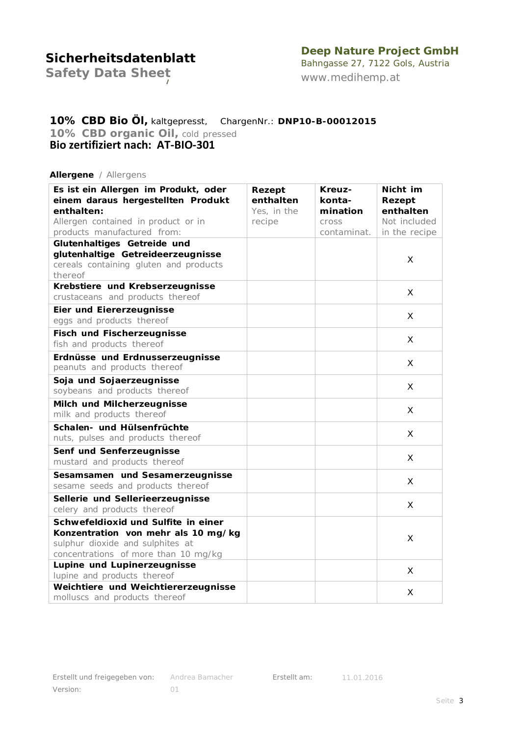## **Deep Nature Project GmbH**

*Safety Data Sheet*

Bahngasse 27, 7122 Gols, Austria *[www.medihemp.at](http://www.medihemp.at/)*

## **10% CBD Bio Öl,** kaltgepresst, ChargenNr.: **DNP10-B-00012015** *10% CBD organic Oil, cold pressed* **Bio zertifiziert nach: AT-BIO-301**

#### **Allergene** */ Allergens*

| Es ist ein Allergen im Produkt, oder<br>einem daraus hergestellten Produkt | Rezept<br>enthalten | Kreuz-<br>konta- | Nicht im            |
|----------------------------------------------------------------------------|---------------------|------------------|---------------------|
| enthalten:                                                                 | Yes, in the         | mination         | Rezept<br>enthalten |
| Allergen contained in product or in                                        | recipe              | cross            | Not included        |
| products manufactured from:                                                |                     | contaminat.      | in the recipe       |
| Glutenhaltiges Getreide und                                                |                     |                  |                     |
| glutenhaltige Getreideerzeugnisse                                          |                     |                  |                     |
| cereals containing gluten and products                                     |                     |                  | X                   |
| thereof                                                                    |                     |                  |                     |
| Krebstiere und Krebserzeugnisse                                            |                     |                  |                     |
| crustaceans and products thereof                                           |                     |                  | X                   |
| <b>Eier und Eiererzeugnisse</b>                                            |                     |                  |                     |
| eggs and products thereof                                                  |                     |                  | X                   |
| <b>Fisch und Fischerzeugnisse</b>                                          |                     |                  |                     |
| fish and products thereof                                                  |                     |                  | X                   |
| Erdnüsse und Erdnusserzeugnisse                                            |                     |                  |                     |
| peanuts and products thereof                                               |                     |                  | X                   |
| Soja und Sojaerzeugnisse                                                   |                     |                  | X                   |
| soybeans and products thereof                                              |                     |                  |                     |
| Milch und Milcherzeugnisse                                                 |                     |                  | X                   |
| milk and products thereof                                                  |                     |                  |                     |
| Schalen- und Hülsenfrüchte                                                 |                     |                  |                     |
| nuts, pulses and products thereof                                          |                     |                  | X                   |
| Senf und Senferzeugnisse                                                   |                     |                  |                     |
| mustard and products thereof                                               |                     |                  | X                   |
| Sesamsamen und Sesamerzeugnisse                                            |                     |                  |                     |
| sesame seeds and products thereof                                          |                     |                  | X                   |
| Sellerie und Sellerieerzeugnisse                                           |                     |                  |                     |
| celery and products thereof                                                |                     |                  | X                   |
| Schwefeldioxid und Sulfite in einer                                        |                     |                  |                     |
| Konzentration von mehr als 10 mg/kg                                        |                     |                  | X                   |
| sulphur dioxide and sulphites at                                           |                     |                  |                     |
| concentrations of more than 10 mg/kg                                       |                     |                  |                     |
| Lupine und Lupinerzeugnisse                                                |                     |                  | X                   |
| lupine and products thereof                                                |                     |                  |                     |
| Weichtiere und Weichtiererzeugnisse                                        |                     |                  | X                   |
| molluscs and products thereof                                              |                     |                  |                     |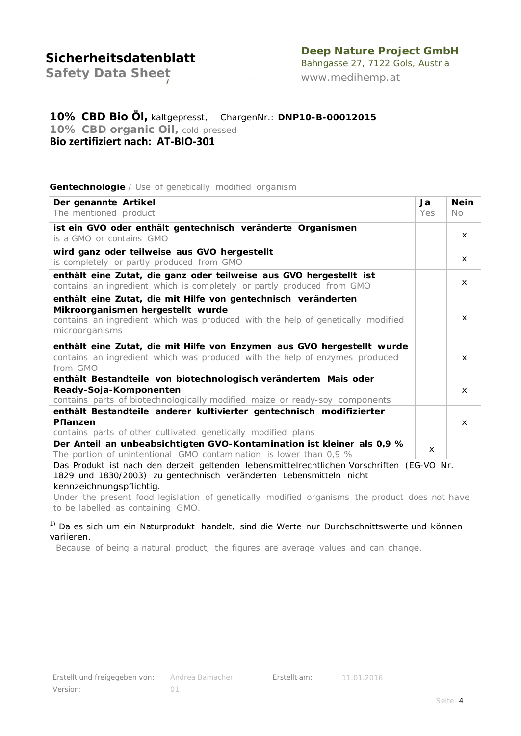## **Deep Nature Project GmbH**

*Safety Data Sheet*

Bahngasse 27, 7122 Gols, Austria *[www.medihemp.at](http://www.medihemp.at/)*

## **10% CBD Bio Öl,** kaltgepresst, ChargenNr.: **DNP10-B-00012015** *10% CBD organic Oil, cold pressed* **Bio zertifiziert nach: AT-BIO-301**

### **Gentechnologie** */ Use of genetically modified organism*

| Der genannte Artikel                                                                                                                           | Ja           | <b>Nein</b>  |  |
|------------------------------------------------------------------------------------------------------------------------------------------------|--------------|--------------|--|
| The mentioned product                                                                                                                          | Yes          | $N_O$        |  |
| ist ein GVO oder enthält gentechnisch veränderte Organismen                                                                                    |              | X            |  |
| is a GMO or contains GMO                                                                                                                       |              |              |  |
| wird ganz oder teilweise aus GVO hergestellt<br>is completely or partly produced from GMO                                                      |              | x            |  |
| enthält eine Zutat, die ganz oder teilweise aus GVO hergestellt ist<br>contains an ingredient which is completely or partly produced from GMO  |              | $\mathsf{x}$ |  |
| enthält eine Zutat, die mit Hilfe von gentechnisch veränderten                                                                                 |              |              |  |
| Mikroorganismen hergestellt wurde                                                                                                              |              |              |  |
| contains an ingredient which was produced with the help of genetically modified                                                                |              | X            |  |
| microorganisms                                                                                                                                 |              |              |  |
| enthält eine Zutat, die mit Hilfe von Enzymen aus GVO hergestellt wurde                                                                        |              |              |  |
| contains an ingredient which was produced with the help of enzymes produced                                                                    |              | $\mathsf{x}$ |  |
| from GMO                                                                                                                                       |              |              |  |
| enthält Bestandteile von biotechnologisch verändertem Mais oder                                                                                |              |              |  |
| Ready-Soja-Komponenten                                                                                                                         |              | x            |  |
| contains parts of biotechnologically modified maize or ready-soy components                                                                    |              |              |  |
| enthält Bestandteile anderer kultivierter gentechnisch modifizierter                                                                           |              |              |  |
| Pflanzen                                                                                                                                       |              | x            |  |
| contains parts of other cultivated genetically modified plans                                                                                  |              |              |  |
| Der Anteil an unbeabsichtigten GVO-Kontamination ist kleiner als 0,9 %<br>The portion of unintentional GMO contamination is lower than $0.9\%$ | $\mathsf{x}$ |              |  |
| Das Produkt ist nach den derzeit geltenden lebensmittelrechtlichen Vorschriften (EG-VO Nr.                                                     |              |              |  |
| 1829 und 1830/2003) zu gentechnisch veränderten Lebensmitteln nicht                                                                            |              |              |  |
| kennzeichnungspflichtig.                                                                                                                       |              |              |  |
| Under the present food legislation of genetically modified organisms the product does not have                                                 |              |              |  |
| to be labelled as containing GMO.                                                                                                              |              |              |  |

<sup>1)</sup> Da es sich um ein Naturprodukt handelt, sind die Werte nur Durchschnittswerte und können variieren.

*Because of being a natural product, the figures are average values and can change.*